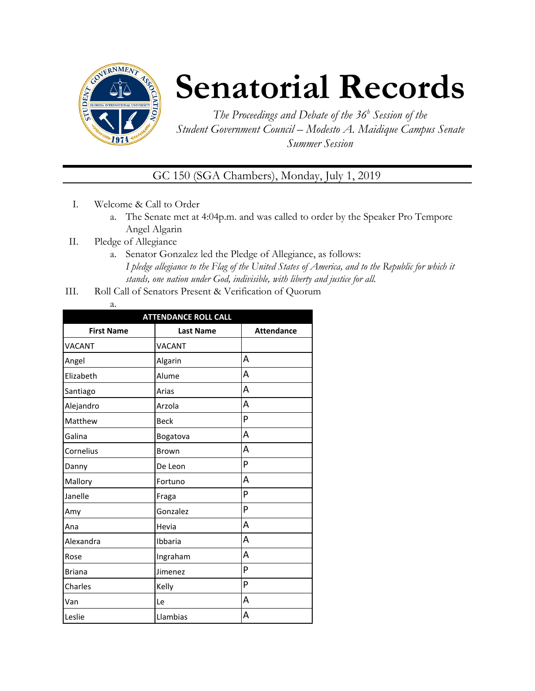

## **Senatorial Records**

*The Proceedings and Debate of the 36 <sup>h</sup> Session of the Student Government Council – Modesto A. Maidique Campus Senate Summer Session*

GC 150 (SGA Chambers), Monday, July 1, 2019

- I. Welcome & Call to Order
	- a. The Senate met at 4:04p.m. and was called to order by the Speaker Pro Tempore Angel Algarin
- II. Pledge of Allegiance
	- a. Senator Gonzalez led the Pledge of Allegiance, as follows: *I pledge allegiance to the Flag of the United States of America, and to the Republic for which it stands, one nation under God, indivisible, with liberty and justice for all.*
- III. Roll Call of Senators Present & Verification of Quorum
	- a.

| <b>ATTENDANCE ROLL CALL</b> |                  |                   |  |
|-----------------------------|------------------|-------------------|--|
| <b>First Name</b>           | <b>Last Name</b> | <b>Attendance</b> |  |
| <b>VACANT</b>               | <b>VACANT</b>    |                   |  |
| Angel                       | Algarin          | A                 |  |
| Elizabeth                   | Alume            | A                 |  |
| Santiago                    | Arias            | A                 |  |
| Alejandro                   | Arzola           | A                 |  |
| Matthew                     | <b>Beck</b>      | P                 |  |
| Galina                      | Bogatova         | A                 |  |
| Cornelius                   | Brown            | A                 |  |
| Danny                       | De Leon          | P                 |  |
| Mallory                     | Fortuno          | A                 |  |
| Janelle                     | Fraga            | P                 |  |
| Amy                         | Gonzalez         | P                 |  |
| Ana                         | Hevia            | A                 |  |
| Alexandra                   | Ibbaria          | A                 |  |
| Rose                        | Ingraham         | A                 |  |
| <b>Briana</b>               | Jimenez          | P                 |  |
| Charles                     | Kelly            | P                 |  |
| Van                         | Le               | Α                 |  |
| Leslie                      | Llambias         | Α                 |  |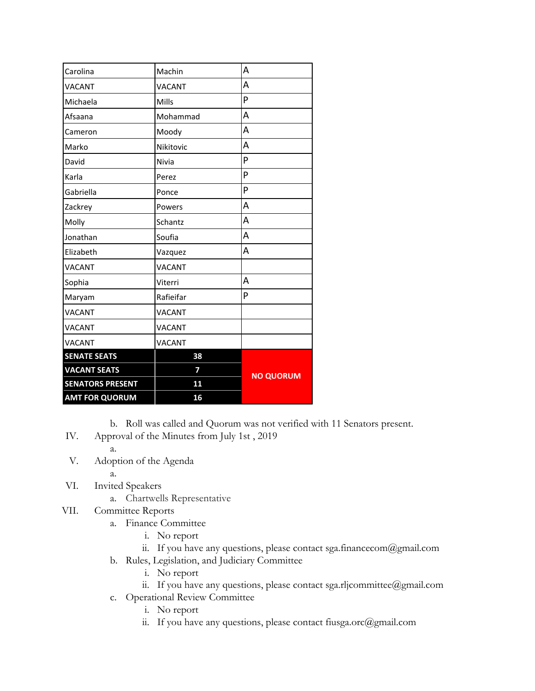| Carolina                | Machin        | A                |
|-------------------------|---------------|------------------|
| <b>VACANT</b>           | <b>VACANT</b> | A                |
| Michaela                | Mills         | P                |
| Afsaana                 | Mohammad      | A                |
| Cameron                 | Moody         | A                |
| Marko                   | Nikitovic     | A                |
| David                   | Nivia         | P                |
| Karla                   | Perez         | P                |
| Gabriella               | Ponce         | P                |
| Zackrey                 | Powers        | A                |
| Molly                   | Schantz       | A                |
| Jonathan                | Soufia        | A                |
| Elizabeth               | Vazquez       | A                |
| <b>VACANT</b>           | VACANT        |                  |
| Sophia                  | Viterri       | A                |
| Maryam                  | Rafieifar     | P                |
| VACANT                  | VACANT        |                  |
| <b>VACANT</b>           | <b>VACANT</b> |                  |
| <b>VACANT</b>           | <b>VACANT</b> |                  |
| <b>SENATE SEATS</b>     | 38            |                  |
| <b>VACANT SEATS</b>     | 7             | <b>NO QUORUM</b> |
| <b>SENATORS PRESENT</b> | 11            |                  |
| <b>AMT FOR QUORUM</b>   | 16            |                  |

b. Roll was called and Quorum was not verified with 11 Senators present.

IV. Approval of the Minutes from July 1st , 2019

a.

- V. Adoption of the Agenda
	- a.
- VI. Invited Speakers
	- a. Chartwells Representative
- VII. Committee Reports
	- a. Finance Committee
		- i. No report
		- ii. If you have any questions, please contact sga.financecom@gmail.com
	- b. Rules, Legislation, and Judiciary Committee
		- i. No report
		- ii. If you have any questions, please contact sga.rljcommittee@gmail.com
	- c. Operational Review Committee
		- i. No report
		- ii. If you have any questions, please contact fiusga.orc@gmail.com